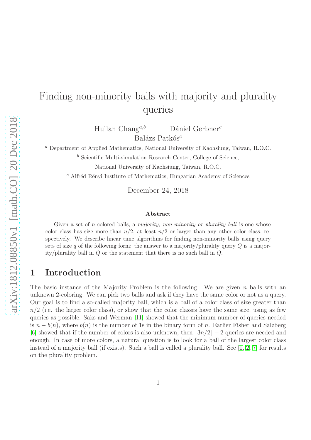# Finding non-minority balls with majority and plurality queries

Huilan Chang<sup>a,b</sup> Dániel Gerbner<sup>c</sup> Balázs Patkós $^c$ 

<sup>a</sup> Department of Applied Mathematics, National University of Kaohsiung, Taiwan, R.O.C.

 $<sup>b</sup>$  Scientific Multi-simulation Research Center, College of Science,</sup>

National University of Kaohsiung, Taiwan, R.O.C.

 $c$  Alfréd Rényi Institute of Mathematics, Hungarian Academy of Sciences

December 24, 2018

#### Abstract

Given a set of  $n$  colored balls, a *majority, non-minority or plurality ball* is one whose color class has size more than  $n/2$ , at least  $n/2$  or larger than any other color class, respectively. We describe linear time algorithms for finding non-minority balls using query sets of size q of the following form: the answer to a majority/plurality query  $Q$  is a majority/plurality ball in  $Q$  or the statement that there is no such ball in  $Q$ .

## 1 Introduction

The basic instance of the Majority Problem is the following. We are given n balls with an unknown 2-coloring. We can pick two balls and ask if they have the same color or not as a query. Our goal is to find a so-called majority ball, which is a ball of a color class of size greater than  $n/2$  (i.e. the larger color class), or show that the color classes have the same size, using as few queries as possible. Saks and Werman [\[11\]](#page-9-0) showed that the minimum number of queries needed is  $n - b(n)$ , where  $b(n)$  is the number of 1s in the binary form of n. Earlier Fisher and Salzberg [\[6\]](#page-8-0) showed that if the number of colors is also unknown, then  $\lceil 3n/2 \rceil - 2$  queries are needed and enough. In case of more colors, a natural question is to look for a ball of the largest color class instead of a majority ball (if exists). Such a ball is called a plurality ball. See [\[1,](#page-8-1) [2,](#page-8-2) [7\]](#page-8-3) for results on the plurality problem.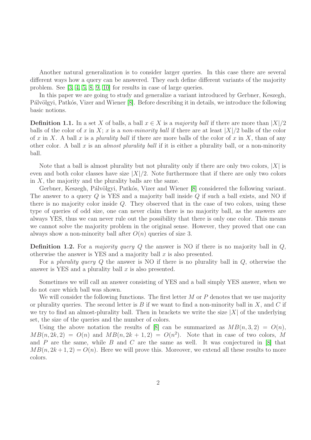Another natural generalization is to consider larger queries. In this case there are several different ways how a query can be answered. They each define different variants of the majority problem. See [\[3,](#page-8-4) [4,](#page-8-5) [5,](#page-8-6) [8,](#page-8-7) [9,](#page-8-8) [10\]](#page-9-1) for results in case of large queries.

In this paper we are going to study and generalize a variant introduced by Gerbner, Keszegh, Pálvölgyi, Patkós, Vizer and Wiener [\[8\]](#page-8-7). Before describing it in details, we introduce the following basic notions.

**Definition 1.1.** In a set X of balls, a ball  $x \in X$  is a *majority ball* if there are more than  $|X|/2$ balls of the color of x in X; x is a non-minority ball if there are at least  $|X|/2$  balls of the color of x in X. A ball x is a plurality ball if there are more balls of the color of x in X, than of any other color. A ball x is an *almost plurality ball* if it is either a plurality ball, or a non-minority ball.

Note that a ball is almost plurality but not plurality only if there are only two colors,  $|X|$  is even and both color classes have size  $|X|/2$ . Note furthermore that if there are only two colors in  $X$ , the majority and the plurality balls are the same.

Gerbner, Keszegh, Pálvölgyi, Patkós, Vizer and Wiener [\[8\]](#page-8-7) considered the following variant. The answer to a query Q is YES and a majority ball inside Q if such a ball exists, and NO if there is no majority color inside  $Q$ . They observed that in the case of two colors, using these type of queries of odd size, one can never claim there is no majority ball, as the answers are always YES, thus we can never rule out the possibility that there is only one color. This means we cannot solve the majority problem in the original sense. However, they proved that one can always show a non-minority ball after  $O(n)$  queries of size 3.

**Definition 1.2.** For a *majority query Q* the answer is NO if there is no majority ball in  $Q$ , otherwise the answer is YES and a majority ball  $x$  is also presented.

For a plurality query  $Q$  the answer is NO if there is no plurality ball in  $Q$ , otherwise the answer is YES and a plurality ball  $x$  is also presented.

Sometimes we will call an answer consisting of YES and a ball simply YES answer, when we do not care which ball was shown.

We will consider the following functions. The first letter  $M$  or  $P$  denotes that we use majority or plurality queries. The second letter is B if we want to find a non-minority ball in  $X$ , and C if we try to find an almost-plurality ball. Then in brackets we write the size  $|X|$  of the underlying set, the size of the queries and the number of colors.

Using the above notation the results of [\[8\]](#page-8-7) can be summarized as  $MB(n, 3, 2) = O(n)$ ,  $MB(n, 2k, 2) = O(n)$  and  $MB(n, 2k + 1, 2) = O(n^2)$ . Note that in case of two colors, M and  $P$  are the same, while  $B$  and  $C$  are the same as well. It was conjectured in [\[8\]](#page-8-7) that  $MB(n, 2k+1, 2) = O(n)$ . Here we will prove this. Moreover, we extend all these results to more colors.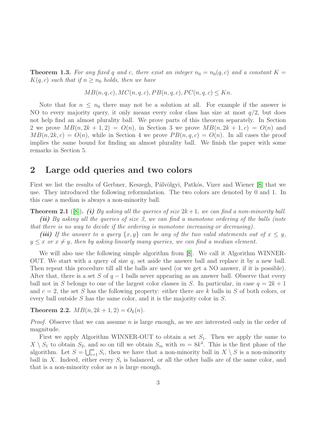**Theorem 1.3.** For any fixed q and c, there exist an integer  $n_0 = n_0(q, c)$  and a constant  $K =$  $K(q, c)$  such that if  $n \geq n_0$  holds, then we have

$$
MB(n, q, c), MC(n, q, c), PB(n, q, c), PC(n, q, c) \le Kn.
$$

Note that for  $n \leq n_0$  there may not be a solution at all. For example if the answer is NO to every majority query, it only means every color class has size at most  $q/2$ , but does not help find an almost plurality ball. We prove parts of this theorem separately. In Section 2 we prove  $MB(n, 2k+1, 2) = O(n)$ , in Section 3 we prove  $MB(n, 2k+1, c) = O(n)$  and  $MB(n, 2k, c) = O(n)$ , while in Section 4 we prove  $PB(n, q, c) = O(n)$ . In all cases the proof implies the same bound for finding an almost plurality ball. We finish the paper with some remarks in Section 5.

### 2 Large odd queries and two colors

First we list the results of Gerbner, Keszegh, Pálvölgyi, Patkós, Vizer and Wiener [\[8\]](#page-8-7) that we use. They introduced the following reformulation. The two colors are denoted by 0 and 1. In this case a median is always a non-minority ball.

<span id="page-2-0"></span>**Theorem 2.1** ([\[8\]](#page-8-7)). (i) By asking all the queries of size  $2k+1$ , we can find a non-minority ball. (ii) By asking all the queries of size 3, we can find a monotone ordering of the balls (note that there is no way to decide if the ordering is monotone increasing or decreasing).

(iii) If the answer to a query  $\{x, y\}$  can be any of the two valid statements out of  $x \leq y$ ,  $y \leq x$  or  $x \neq y$ , then by asking linearly many queries, we can find a median element.

We will also use the following simple algorithm from [\[8\]](#page-8-7). We call it Algorithm WINNER-OUT. We start with a query of size  $q$ , set aside the answer ball and replace it by a new ball. Then repeat this procedure till all the balls are used (or we get a NO answer, if it is possible). After that, there is a set S of  $q-1$  balls never appearing as an answer ball. Observe that every ball not in S belongs to one of the largest color classes in S. In particular, in case  $q = 2k + 1$ and  $c = 2$ , the set S has the following property: either there are k balls in S of both colors, or every ball outside S has the same color, and it is the majority color in S.

<span id="page-2-1"></span>Theorem 2.2.  $MB(n, 2k+1, 2) = O_k(n)$ .

*Proof.* Observe that we can assume n is large enough, as we are interested only in the order of magnitude.

First we apply Algorithm WINNER-OUT to obtain a set  $S_1$ . Then we apply the same to  $X \setminus S_1$  to obtain  $S_2$ , and so on till we obtain  $S_m$  with  $m = 8k^4$ . This is the first phase of the algorithm. Let  $S = \bigcup_{i=1}^m S_i$ , then we have that a non-minority ball in  $X \setminus S$  is a non-minority ball in X. Indeed, either every  $S_i$  is balanced, or all the other balls are of the same color, and that is a non-minority color as  $n$  is large enough.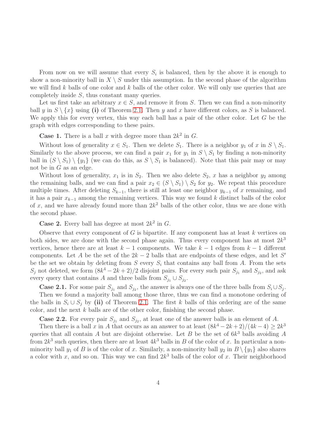From now on we will assume that every  $S_i$  is balanced, then by the above it is enough to show a non-minority ball in  $X \setminus S$  under this assumption. In the second phase of the algorithm we will find k balls of one color and k balls of the other color. We will only use queries that are completely inside S, thus constant many queries.

Let us first take an arbitrary  $x \in S$ , and remove it from S. Then we can find a non-minority ball y in  $S \setminus \{x\}$  using (i) of Theorem [2.1.](#page-2-0) Then y and x have different colors, as S is balanced. We apply this for every vertex, this way each ball has a pair of the other color. Let  $G$  be the graph with edges corresponding to these pairs.

**Case 1.** There is a ball x with degree more than  $2k^2$  in G.

Without loss of generality  $x \in S_1$ . Then we delete  $S_1$ . There is a neighbor  $y_1$  of x in  $S \setminus S_1$ . Similarly to the above process, we can find a pair  $x_1$  for  $y_1$  in  $S \setminus S_1$  by finding a non-minority ball in  $(S \setminus S_1) \setminus \{y_1\}$  (we can do this, as  $S \setminus S_1$  is balanced). Note that this pair may or may not be in G as an edge.

Without loss of generality,  $x_1$  is in  $S_2$ . Then we also delete  $S_2$ , x has a neighbor  $y_2$  among the remaining balls, and we can find a pair  $x_2 \in (S \setminus S_1) \setminus S_2$  for  $y_2$ . We repeat this procedure multiple times. After deleting  $S_{k-1}$ , there is still at least one neighbor  $y_{k-1}$  of x remaining, and it has a pair  $x_{k-1}$  among the remaining vertices. This way we found k distinct balls of the color of x, and we have already found more than  $2k^2$  balls of the other color, thus we are done with the second phase.

**Case 2.** Every ball has degree at most  $2k^2$  in G.

Observe that every component of  $G$  is bipartite. If any component has at least  $k$  vertices on both sides, we are done with the second phase again. Thus every component has at most  $2k<sup>3</sup>$ vertices, hence there are at least  $k-1$  components. We take  $k-1$  edges from  $k-1$  different components. Let A be the set of the  $2k - 2$  balls that are endpoints of these edges, and let S' be the set we obtain by deleting from S every  $S_i$  that contains any ball from A. From the sets  $S_j$  not deleted, we form  $(8k^4 - 2k + 2)/2$  disjoint pairs. For every such pair  $S_{j_1}$  and  $S_{j_2}$ , and ask every query that contains A and three balls from  $S_{j_1} \cup S_{j_2}$ .

**Case 2.1.** For some pair  $S_{j_1}$  and  $S_{j_2}$ , the answer is always one of the three balls from  $S_i \cup S_j$ .

Then we found a majority ball among those three, thus we can find a monotone ordering of the balls in  $S_i \cup S_j$  by (ii) of Theorem [2.1.](#page-2-0) The first k balls of this ordering are of the same color, and the next  $k$  balls are of the other color, finishing the second phase.

**Case 2.2.** For every pair  $S_{j_1}$  and  $S_{j_2}$ , at least one of the answer balls is an element of A.

Then there is a ball x in A that occurs as an answer to at least  $(8k^4 - 2k + 2)/(4k - 4) \geq 2k^3$ queries that all contain A but are disjoint otherwise. Let B be the set of  $6k^3$  balls avoiding A from  $2k^3$  such queries, then there are at least  $4k^3$  balls in B of the color of x. In particular a nonminority ball  $y_1$  of B is of the color of x. Similarly, a non-minority ball  $y_2$  in  $B \setminus \{y_1\}$  also shares a color with x, and so on. This way we can find  $2k^3$  balls of the color of x. Their neighborhood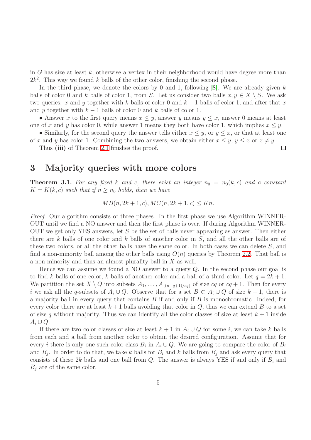in G has size at least  $k$ , otherwise a vertex in their neighborhood would have degree more than  $2k^2$ . This way we found k balls of the other color, finishing the second phase.

In the third phase, we denote the colors by 0 and 1, following  $[8]$ . We are already given k balls of color 0 and k balls of color 1, from S. Let us consider two balls  $x, y \in X \setminus S$ . We ask two queries: x and y together with k balls of color 0 and  $k-1$  balls of color 1, and after that x and y together with  $k-1$  balls of color 0 and k balls of color 1.

• Answer x to the first query means  $x \leq y$ , answer y means  $y \leq x$ , answer 0 means at least one of x and y has color 0, while answer 1 means they both have color 1, which implies  $x \leq y$ .

• Similarly, for the second query the answer tells either  $x \leq y$ , or  $y \leq x$ , or that at least one of x and y has color 1. Combining the two answers, we obtain either  $x \leq y, y \leq x$  or  $x \neq y$ .

 $\Box$ 

Thus (iii) of Theorem [2.1](#page-2-0) finishes the proof.

#### 3 Majority queries with more colors

**Theorem 3.1.** For any fixed k and c, there exist an integer  $n_0 = n_0(k, c)$  and a constant  $K = K(k, c)$  such that if  $n \geq n_0$  holds, then we have

$$
MB(n, 2k+1, c), MC(n, 2k+1, c) \le Kn.
$$

Proof. Our algorithm consists of three phases. In the first phase we use Algorithm WINNER-OUT until we find a NO answer and then the first phase is over. If during Algorithm WINNER-OUT we get only YES answers, let S be the set of balls never appearing as answer. Then either there are k balls of one color and k balls of another color in  $S$ , and all the other balls are of these two colors, or all the other balls have the same color. In both cases we can delete S, and find a non-minority ball among the other balls using  $O(n)$  queries by Theorem [2.2.](#page-2-1) That ball is a non-minority and thus an almost-plurality ball in X as well.

Hence we can assume we found a NO answer to a query  $Q$ . In the second phase our goal is to find k balls of one color, k balls of another color and a ball of a third color. Let  $q = 2k + 1$ . We partition the set  $X \setminus Q$  into subsets  $A_1, \ldots, A_{\lfloor (n-q+1)/cq \rfloor}$  of size  $cq$  or  $cq + 1$ . Then for every i we ask all the q-subsets of  $A_i \cup Q$ . Observe that for a set  $B \subset A_i \cup Q$  of size  $k + 1$ , there is a majority ball in every query that contains  $B$  if and only if  $B$  is monochromatic. Indeed, for every color there are at least  $k+1$  balls avoiding that color in  $Q$ , thus we can extend B to a set of size q without majority. Thus we can identify all the color classes of size at least  $k + 1$  inside  $A_i \cup Q$ .

If there are two color classes of size at least  $k + 1$  in  $A_i \cup Q$  for some i, we can take k balls from each and a ball from another color to obtain the desired configuration. Assume that for every *i* there is only one such color class  $B_i$  in  $A_i \cup Q$ . We are going to compare the color of  $B_i$ and  $B_j$ . In order to do that, we take k balls for  $B_i$  and k balls from  $B_j$  and ask every query that consists of these 2k balls and one ball from Q. The answer is always YES if and only if  $B_i$  and  $B_j$  are of the same color.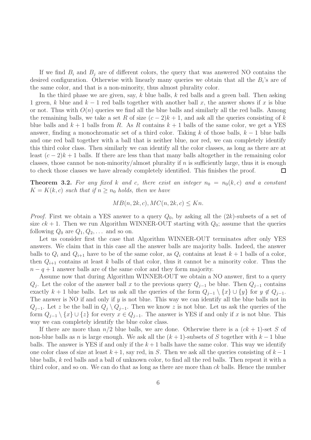If we find  $B_i$  and  $B_j$  are of different colors, the query that was answered NO contains the desired configuration. Otherwise with linearly many queries we obtain that all the  $B_i$ 's are of the same color, and that is a non-minority, thus almost plurality color.

In the third phase we are given, say,  $k$  blue balls,  $k$  red balls and a green ball. Then asking 1 green, k blue and  $k-1$  red balls together with another ball x, the answer shows if x is blue or not. Thus with  $O(n)$  queries we find all the blue balls and similarly all the red balls. Among the remaining balls, we take a set R of size  $(c-2)k+1$ , and ask all the queries consisting of k blue balls and  $k + 1$  balls from R. As R contains  $k + 1$  balls of the same color, we get a YES answer, finding a monochromatic set of a third color. Taking k of those balls,  $k-1$  blue balls and one red ball together with a ball that is neither blue, nor red, we can completely identify this third color class. Then similarly we can identify all the color classes, as long as there are at least  $(c-2)k+1$  balls. If there are less than that many balls altogether in the remaining color classes, those cannot be non-minority/almost plurality if n is sufficiently large, thus it is enough to check those classes we have already completely identified. This finishes the proof.  $\Box$ 

**Theorem 3.2.** For any fixed k and c, there exist an integer  $n_0 = n_0(k, c)$  and a constant  $K = K(k, c)$  such that if  $n \geq n_0$  holds, then we have

$$
MB(n, 2k, c), MC(n, 2k, c) \le Kn.
$$

*Proof.* First we obtain a YES answer to a query  $Q_0$ , by asking all the  $(2k)$ -subsets of a set of size  $ck + 1$ . Then we run Algorithm WINNER-OUT starting with  $Q_0$ ; assume that the queries following  $Q_0$  are  $Q_1, Q_2, \ldots$  and so on.

Let us consider first the case that Algorithm WINNER-OUT terminates after only YES answers. We claim that in this case all the answer balls are majority balls. Indeed, the answer balls to  $Q_i$  and  $Q_{i+1}$  have to be of the same color, as  $Q_i$  contains at least  $k+1$  balls of a color, then  $Q_{i+1}$  contains at least k balls of that color, thus it cannot be a minority color. Thus the  $n - q + 1$  answer balls are of the same color and they form majority.

Assume now that during Algorithm WINNER-OUT we obtain a NO answer, first to a query  $Q_j$ . Let the color of the answer ball x to the previous query  $Q_{j-1}$  be blue. Then  $Q_{j-1}$  contains exactly k + 1 blue balls. Let us ask all the queries of the form  $Q_{j-1} \setminus \{x\} \cup \{y\}$  for  $y \notin Q_{j-1}$ . The answer is NO if and only if  $y$  is not blue. This way we can identify all the blue balls not in  $Q_{j-1}$ . Let z be the ball in  $Q_j \setminus Q_{j-1}$ . Then we know z is not blue. Let us ask the queries of the form  $Q_{j-1} \setminus \{x\} \cup \{z\}$  for every  $x \in Q_{j-1}$ . The answer is YES if and only if x is not blue. This way we can completely identify the blue color class.

If there are more than  $n/2$  blue balls, we are done. Otherwise there is a  $(ck + 1)$ -set S of non-blue balls as n is large enough. We ask all the  $(k + 1)$ -subsets of S together with  $k - 1$  blue balls. The answer is YES if and only if the  $k+1$  balls have the same color. This way we identify one color class of size at least  $k + 1$ , say red, in S. Then we ask all the queries consisting of  $k - 1$ blue balls, k red balls and a ball of unknown color, to find all the red balls. Then repeat it with a third color, and so on. We can do that as long as there are more than  $ck$  balls. Hence the number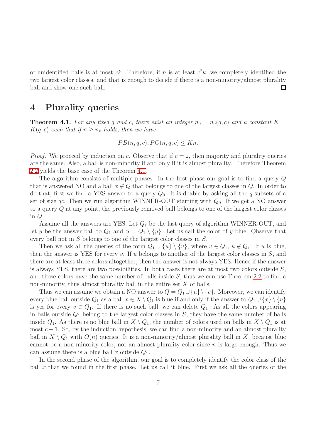of unidentified balls is at most  $ck$ . Therefore, if n is at least  $c^2k$ , we completely identified the two largest color classes, and that is enough to decide if there is a non-minority/almost plurality ball and show one such ball.  $\Box$ 

### 4 Plurality queries

<span id="page-6-0"></span>**Theorem 4.1.** For any fixed q and c, there exist an integer  $n_0 = n_0(q, c)$  and a constant  $K =$  $K(q, c)$  such that if  $n > n_0$  holds, then we have

$$
PB(n, q, c), PC(n, q, c) \le Kn.
$$

*Proof.* We proceed by induction on c. Observe that if  $c = 2$ , then majority and plurality queries are the same. Also, a ball is non-minority if and only if it is almost plurality. Therefore Theorem [2.2](#page-2-1) yields the base case of the Theorem [4.1.](#page-6-0)

The algorithm consists of multiple phases. In the first phase our goal is to find a query Q that is answered NO and a ball  $x \notin Q$  that belongs to one of the largest classes in Q. In order to do that, first we find a YES answer to a query  $Q_0$ . It is doable by asking all the q-subsets of a set of size qc. Then we run algorithm WINNER-OUT starting with  $Q_0$ . If we get a NO answer to a query Q at any point, the previously removed ball belongs to one of the largest color classes in Q.

Assume all the answers are YES. Let  $Q_1$  be the last query of algorithm WINNER-OUT, and let y be the answer ball to  $Q_1$  and  $S = Q_1 \setminus \{y\}$ . Let us call the color of y blue. Observe that every ball not in S belongs to one of the largest color classes in S.

Then we ask all the queries of the form  $Q_1 \cup \{u\} \setminus \{v\}$ , where  $v \in Q_1$ ,  $u \notin Q_1$ . If u is blue, then the answer is YES for every  $v$ . If  $u$  belongs to another of the largest color classes in  $S$ , and there are at least three colors altogether, then the answer is not always YES. Hence if the answer is always YES, there are two possibilities. In both cases there are at most two colors outside  $S$ , and those colors have the same number of balls inside S, thus we can use Theorem [2.2](#page-2-1) to find a non-minority, thus almost plurality ball in the entire set  $X$  of balls.

Thus we can assume we obtain a NO answer to  $Q = Q_1 \cup \{u\} \setminus \{v\}$ . Moreover, we can identify every blue ball outside  $Q_1$  as a ball  $x \in X \setminus Q_1$  is blue if and only if the answer to  $Q_1 \cup \{x\} \setminus \{v\}$ is yes for every  $v \in Q_1$ . If there is no such ball, we can delete  $Q_1$ . As all the colors appearing in balls outside  $Q_1$  belong to the largest color classes in  $S$ , they have the same number of balls inside  $Q_1$ . As there is no blue ball in  $X \setminus Q_1$ , the number of colors used on balls in  $X \setminus Q_1$  is at most  $c - 1$ . So, by the induction hypothesis, we can find a non-minority and an almost plurality ball in  $X \setminus Q_1$  with  $O(n)$  queries. It is a non-minority/almost plurality ball in X, because blue cannot be a non-minority color, nor an almost plurality color since  $n$  is large enough. Thus we can assume there is a blue ball x outside  $Q_1$ .

In the second phase of the algorithm, our goal is to completely identify the color class of the ball x that we found in the first phase. Let us call it blue. First we ask all the queries of the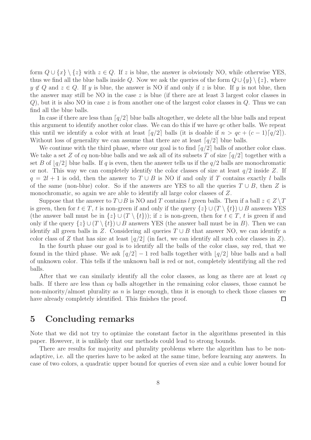form  $Q \cup \{x\} \setminus \{z\}$  with  $z \in Q$ . If z is blue, the answer is obviously NO, while otherwise YES, thus we find all the blue balls inside Q. Now we ask the queries of the form  $Q \cup \{y\} \setminus \{z\}$ , where  $y \notin Q$  and  $z \in Q$ . If y is blue, the answer is NO if and only if z is blue. If y is not blue, then the answer may still be NO in the case  $z$  is blue (if there are at least 3 largest color classes in  $Q$ ), but it is also NO in case z is from another one of the largest color classes in  $Q$ . Thus we can find all the blue balls.

In case if there are less than  $\lceil q/2 \rceil$  blue balls altogether, we delete all the blue balls and repeat this argument to identify another color class. We can do this if we have qc other balls. We repeat this until we identify a color with at least  $\lceil q/2 \rceil$  balls (it is doable if  $n > qc + (c-1)\lceil q/2 \rceil$ ). Without loss of generality we can assume that there are at least  $\lceil q/2 \rceil$  blue balls.

We continue with the third phase, where our goal is to find  $\lceil q/2 \rceil$  balls of another color class. We take a set Z of cq non-blue balls and we ask all of its subsets T of size  $\lceil q/2 \rceil$  together with a set B of  $q/2$  blue balls. If q is even, then the answer tells us if the  $q/2$  balls are monochromatic or not. This way we can completely identify the color classes of size at least  $q/2$  inside Z. If  $q = 2l + 1$  is odd, then the answer to  $T \cup B$  is NO if and only if T contains exactly l balls of the same (non-blue) color. So if the answers are YES to all the queries  $T \cup B$ , then Z is monochromatic, so again we are able to identify all large color classes of Z.

Suppose that the answer to  $T \cup B$  is NO and T contains l green balls. Then if a ball  $z \in Z \setminus T$ is green, then for  $t \in T$ , t is non-green if and only if the query  $\{z\} \cup (T \setminus \{t\}) \cup B$  answers YES (the answer ball must be in  $\{z\} \cup (T \setminus \{t\})$ ); if z is non-green, then for  $t \in T$ , t is green if and only if the query  $\{z\} \cup (T \setminus \{t\}) \cup B$  answers YES (the answer ball must be in B). Then we can identify all green balls in Z. Considering all queries  $T \cup B$  that answer NO, we can identify a color class of Z that has size at least  $|q/2|$  (in fact, we can identify all such color classes in Z).

In the fourth phase our goal is to identify all the balls of the color class, say red, that we found in the third phase. We ask  $\lceil q/2 \rceil - 1$  red balls together with  $\lceil q/2 \rceil$  blue balls and a ball of unknown color. This tells if the unknown ball is red or not, completely identifying all the red balls.

After that we can similarly identify all the color classes, as long as there are at least cq balls. If there are less than cq balls altogether in the remaining color classes, those cannot be non-minority/almost plurality as n is large enough, thus it is enough to check those classes we have already completely identified. This finishes the proof.  $\Box$ 

### 5 Concluding remarks

Note that we did not try to optimize the constant factor in the algorithms presented in this paper. However, it is unlikely that our methods could lead to strong bounds.

There are results for majority and plurality problems where the algorithm has to be nonadaptive, i.e. all the queries have to be asked at the same time, before learning any answers. In case of two colors, a quadratic upper bound for queries of even size and a cubic lower bound for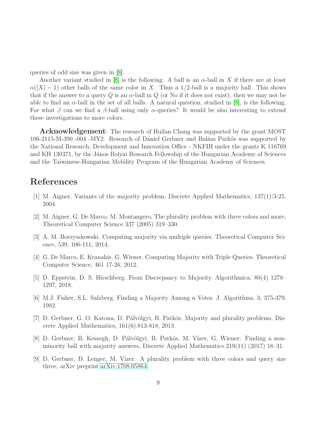queries of odd size was given in [\[8\]](#page-8-7).

Another variant studied in [\[8\]](#page-8-7) is the following. A ball is an  $\alpha$ -ball in X if there are at least  $\alpha(|X|-1)$  other balls of the same color in X. Thus a 1/2-ball is a majority ball. This shows that if the answer to a query Q is an  $\alpha$ -ball in Q (or No if it does not exist), then we may not be able to find an  $\alpha$ -ball in the set of all balls. A natural question, studied in [\[8\]](#page-8-7), is the following. For what  $\beta$  can we find a  $\beta$ -ball using only  $\alpha$ -queries? It would be also interesting to extend these investigations to more colors.

Acknowledgement: The research of Huilan Chang was supported by the grant MOST 106-2115-M-390 -004 -MY2. Research of Dániel Gerbner and Balázs Patkós was supported by the National Research, Development and Innovation Office - NKFIH under the grants K 116769 and KH 130371, by the János Bolyai Research Fellowship of the Hungarian Academy of Sciences and the Taiwanese-Hungarian Mobility Program of the Hungarian Academy of Sciences.

# <span id="page-8-1"></span>References

- <span id="page-8-2"></span>[1] M. Aigner. Variants of the majority problem. Discrete Applied Mathematics, 137(1):3-25, 2004.
- [2] M. Aigner, G. De Marco, M. Montangero, The plurality problem with three colors and more, Theoretical Computer Science 337 (2005) 319–330.
- <span id="page-8-5"></span><span id="page-8-4"></span>[3] A. M. Borzyszkowski. Computing majority via multiple queries. Theoretical Computer Science, 539, 106-111, 2014.
- <span id="page-8-6"></span>[4] G. De Marco, E. Kranakis, G. Wiener. Computing Majority with Triple Queries. Theoretical Computer Science, 461 17-26, 2012.
- <span id="page-8-0"></span>[5] D. Eppstein, D. S. Hirschberg. From Discrepancy to Majority. Algorithmica, 80(4) 1278– 1297, 2018.
- <span id="page-8-3"></span>[6] M.J. Fisher, S.L. Salzberg. Finding a Majority Among n Votes. J. Algorithms, 3, 375-379, 1982.
- [7] D. Gerbner, G. O. Katona, D. Pálvölgyi, B. Patkós. Majority and plurality problems. Discrete Applied Mathematics, 161(6):813-818, 2013.
- <span id="page-8-7"></span>[8] D. Gerbner, B. Keszegh, D. Pálvölgyi, B. Patkós, M. Vizer, G. Wiener: Finding a nonminority ball with majority answers, Discrete Applied Mathematics 219(11) (2017) 18–31.
- <span id="page-8-8"></span>[9] D. Gerbner, D. Lenger, M. Vizer: A plurality problem with three colors and query size three, arXiv preprint [arXiv:1708.05864.](http://arxiv.org/abs/1708.05864)